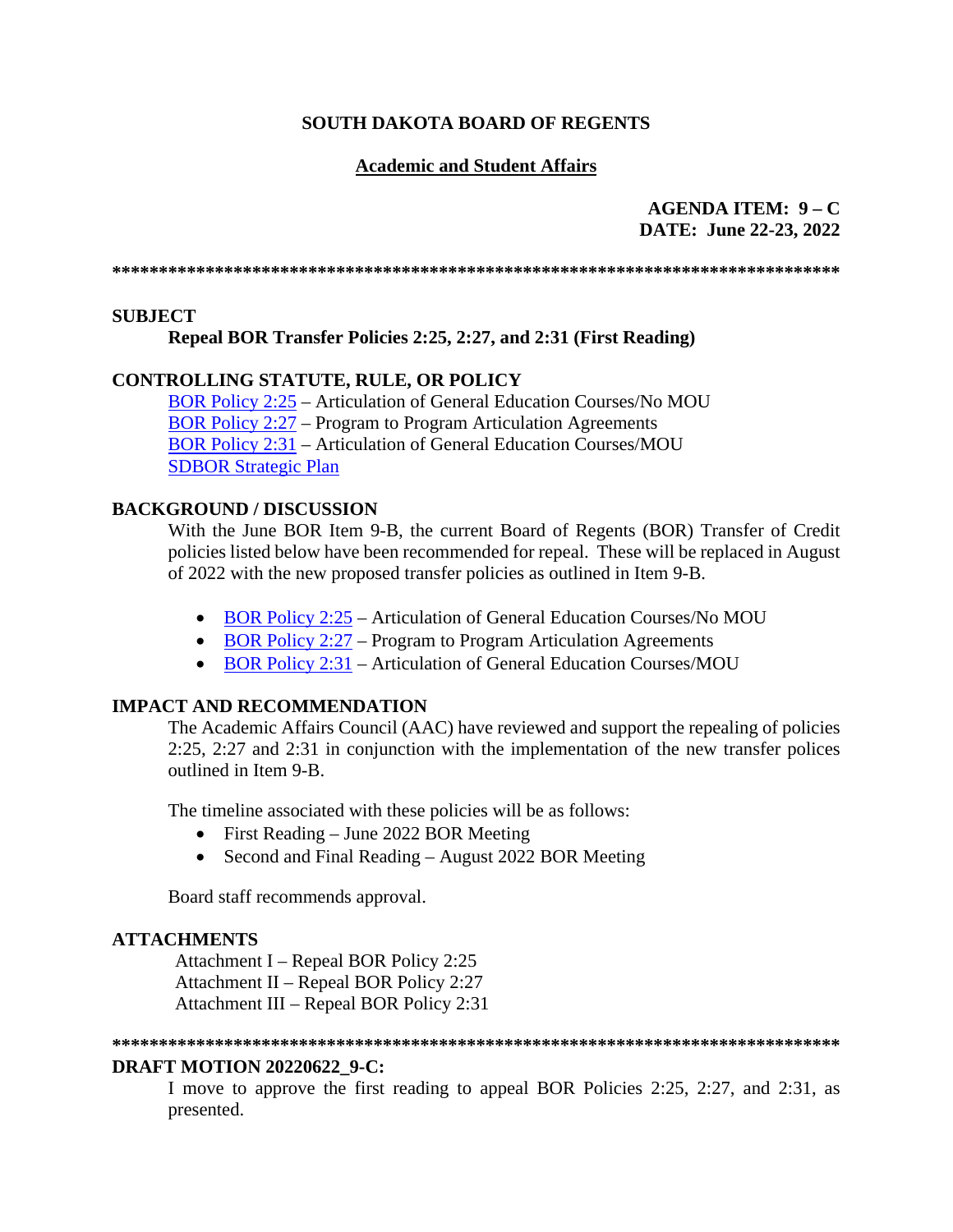## **Academic and Student Affairs**

**AGENDA ITEM: 9 – C DATE: June 22-23, 2022**

**\*\*\*\*\*\*\*\*\*\*\*\*\*\*\*\*\*\*\*\*\*\*\*\*\*\*\*\*\*\*\*\*\*\*\*\*\*\*\*\*\*\*\*\*\*\*\*\*\*\*\*\*\*\*\*\*\*\*\*\*\*\*\*\*\*\*\*\*\*\*\*\*\*\*\*\*\*\***

### **SUBJECT**

### **Repeal BOR Transfer Policies 2:25, 2:27, and 2:31 (First Reading)**

## **CONTROLLING STATUTE, RULE, OR POLICY**

[BOR Policy 2:25](https://www.sdbor.edu/policy/Documents/2-25.pdf) – Articulation of General Education Courses/No MOU [BOR Policy 2:27](https://www.sdbor.edu/policy/documents/2-27.pdf) – Program to Program Articulation Agreements [BOR Policy 2:31](https://www.sdbor.edu/policy/Documents/2-31.pdf) – Articulation of General Education Courses/MOU [SDBOR Strategic Plan](https://www.sdbor.edu/the-board/StrategicPlan/Documents/StrategicPlan_22_27.pdf)

### **BACKGROUND / DISCUSSION**

With the June BOR Item 9-B, the current Board of Regents (BOR) Transfer of Credit policies listed below have been recommended for repeal. These will be replaced in August of 2022 with the new proposed transfer policies as outlined in Item 9-B.

- [BOR Policy 2:25](https://www.sdbor.edu/policy/Documents/2-25.pdf) Articulation of General Education Courses/No MOU
- [BOR Policy 2:27](https://www.sdbor.edu/policy/documents/2-27.pdf) Program to Program Articulation Agreements
- [BOR Policy 2:31](https://www.sdbor.edu/policy/Documents/2-31.pdf) Articulation of General Education Courses/MOU

# **IMPACT AND RECOMMENDATION**

The Academic Affairs Council (AAC) have reviewed and support the repealing of policies 2:25, 2:27 and 2:31 in conjunction with the implementation of the new transfer polices outlined in Item 9-B.

The timeline associated with these policies will be as follows:

- First Reading June 2022 BOR Meeting
- Second and Final Reading August 2022 BOR Meeting

Board staff recommends approval.

### **ATTACHMENTS**

Attachment I – Repeal BOR Policy 2:25 Attachment II – Repeal BOR Policy 2:27 Attachment III – Repeal BOR Policy 2:31

#### **\*\*\*\*\*\*\*\*\*\*\*\*\*\*\*\*\*\*\*\*\*\*\*\*\*\*\*\*\*\*\*\*\*\*\*\*\*\*\*\*\*\*\*\*\*\*\*\*\*\*\*\*\*\*\*\*\*\*\*\*\*\*\*\*\*\*\*\*\*\*\*\*\*\*\*\*\*\***

### **DRAFT MOTION 20220622\_9-C:**

I move to approve the first reading to appeal BOR Policies 2:25, 2:27, and 2:31, as presented.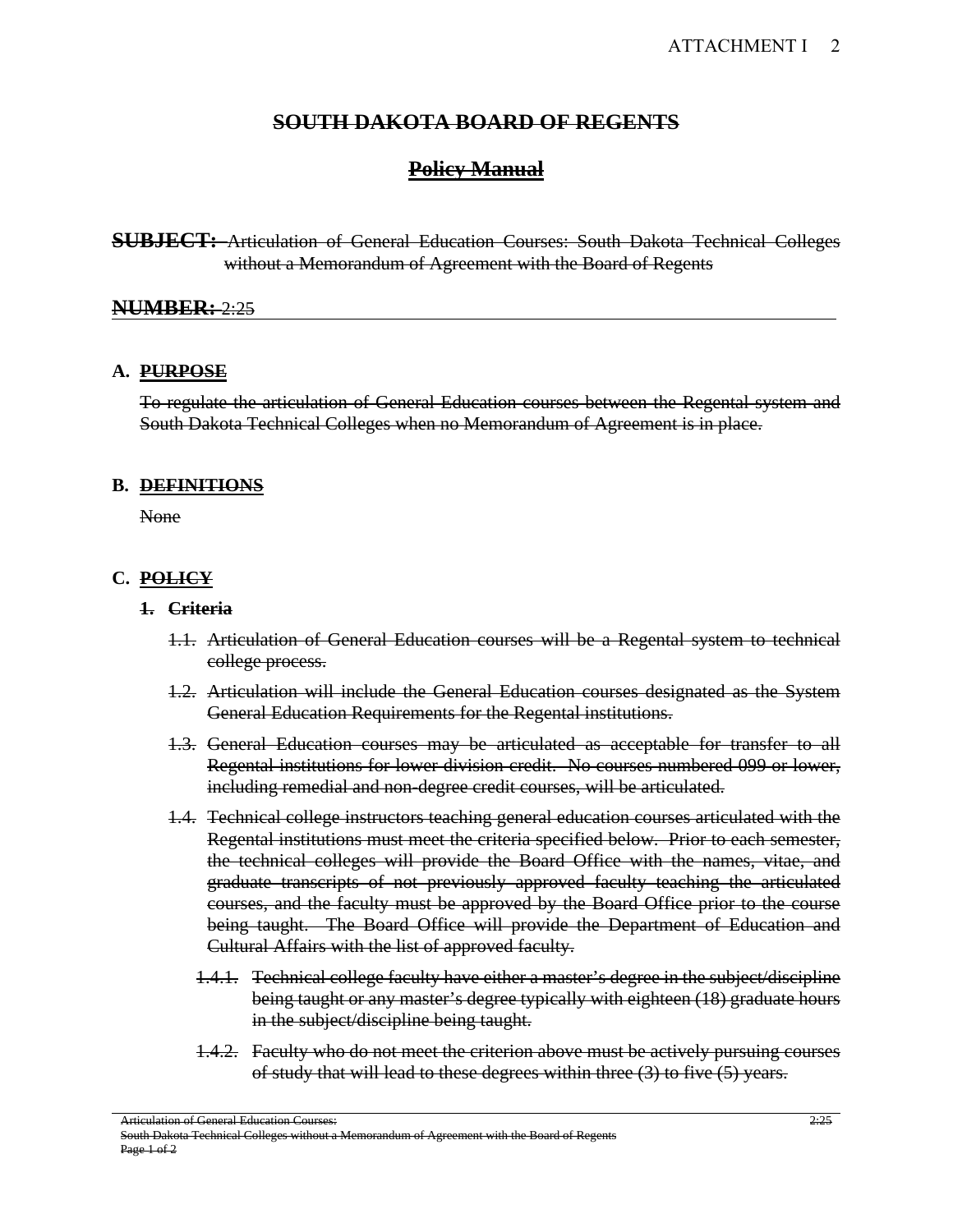# **Policy Manual**

**SUBJECT:** Articulation of General Education Courses: South Dakota Technical Colleges without a Memorandum of Agreement with the Board of Regents

#### **NUMBER:** 2:25

#### **A. PURPOSE**

To regulate the articulation of General Education courses between the Regental system and South Dakota Technical Colleges when no Memorandum of Agreement is in place.

#### **B. DEFINITIONS**

None

### **C. POLICY**

#### **1. Criteria**

- 1.1. Articulation of General Education courses will be a Regental system to technical college process.
- 1.2. Articulation will include the General Education courses designated as the System General Education Requirements for the Regental institutions.
- 1.3. General Education courses may be articulated as acceptable for transfer to all Regental institutions for lower division credit. No courses numbered 099 or lower, including remedial and non-degree credit courses, will be articulated.
- 1.4. Technical college instructors teaching general education courses articulated with the Regental institutions must meet the criteria specified below. Prior to each semester, the technical colleges will provide the Board Office with the names, vitae, and graduate transcripts of not previously approved faculty teaching the articulated courses, and the faculty must be approved by the Board Office prior to the course being taught. The Board Office will provide the Department of Education and Cultural Affairs with the list of approved faculty.
	- 1.4.1. Technical college faculty have either a master's degree in the subject/discipline being taught or any master's degree typically with eighteen (18) graduate hours in the subject/discipline being taught.
	- 1.4.2. Faculty who do not meet the criterion above must be actively pursuing courses of study that will lead to these degrees within three (3) to five (5) years.

Articulation of General Education Courses:

South Dakota Technical Colleges without a Memorandum of Agreement with the Board of Regents Page 1 of 2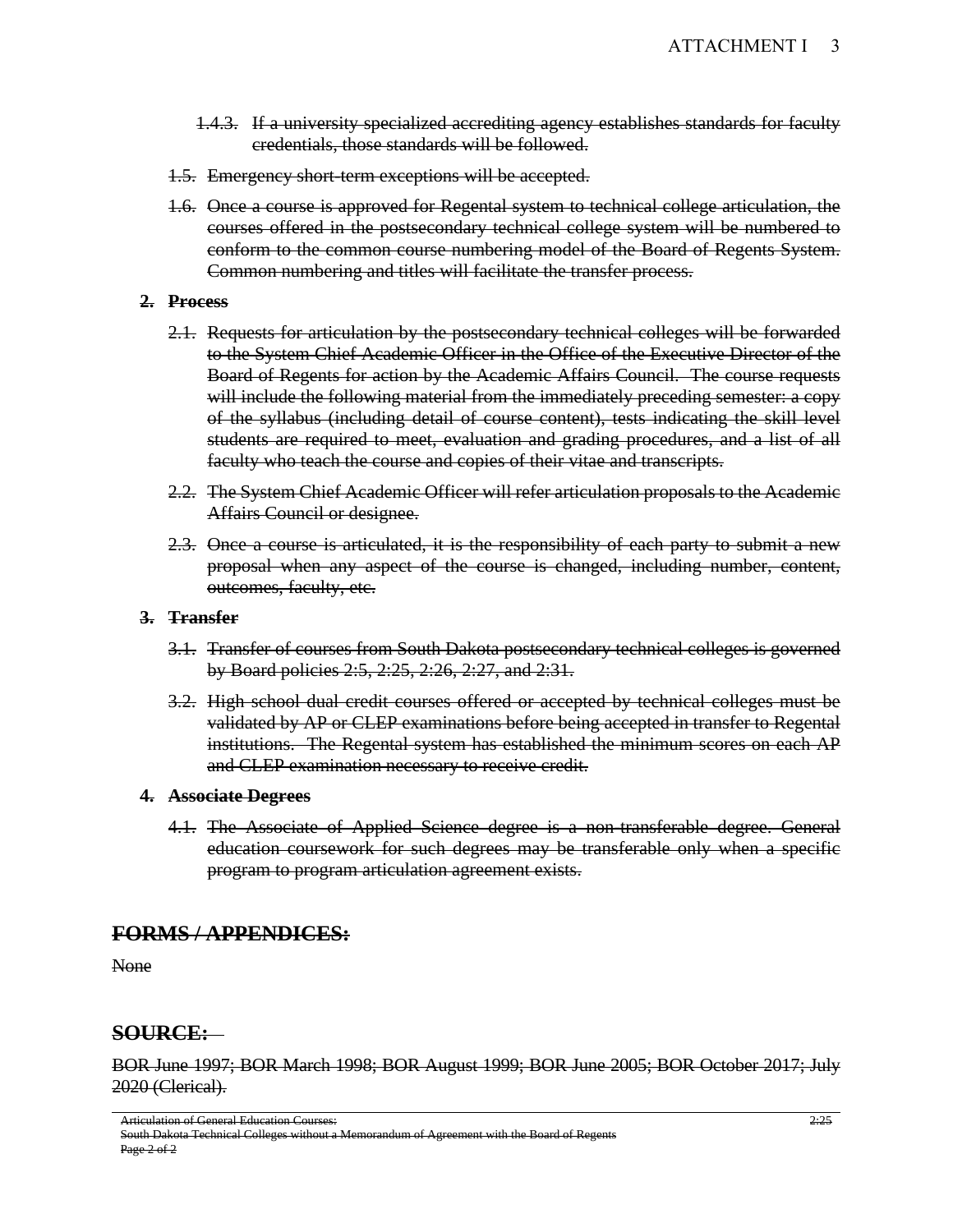- 1.4.3. If a university specialized accrediting agency establishes standards for faculty credentials, those standards will be followed.
- 1.5. Emergency short-term exceptions will be accepted.
- 1.6. Once a course is approved for Regental system to technical college articulation, the courses offered in the postsecondary technical college system will be numbered to conform to the common course numbering model of the Board of Regents System. Common numbering and titles will facilitate the transfer process.

#### **2. Process**

- 2.1. Requests for articulation by the postsecondary technical colleges will be forwarded to the System Chief Academic Officer in the Office of the Executive Director of the Board of Regents for action by the Academic Affairs Council. The course requests will include the following material from the immediately preceding semester: a copy of the syllabus (including detail of course content), tests indicating the skill level students are required to meet, evaluation and grading procedures, and a list of all faculty who teach the course and copies of their vitae and transcripts.
- 2.2. The System Chief Academic Officer will refer articulation proposals to the Academic Affairs Council or designee.
- 2.3. Once a course is articulated, it is the responsibility of each party to submit a new proposal when any aspect of the course is changed, including number, content, outcomes, faculty, etc.

#### **3. Transfer**

- 3.1. Transfer of courses from South Dakota postsecondary technical colleges is governed by Board policies 2:5, 2:25, 2:26, 2:27, and 2:31.
- 3.2. High school dual credit courses offered or accepted by technical colleges must be validated by AP or CLEP examinations before being accepted in transfer to Regental institutions. The Regental system has established the minimum scores on each AP and CLEP examination necessary to receive credit.

#### **4. Associate Degrees**

4.1. The Associate of Applied Science degree is a non-transferable degree. General education coursework for such degrees may be transferable only when a specific program to program articulation agreement exists.

# **FORMS / APPENDICES:**

None

# **SOURCE:**

BOR June 1997; BOR March 1998; BOR August 1999; BOR June 2005; BOR October 2017; July 2020 (Clerical).

Articulation of General Education Courses:

South Dakota Technical Colleges without a Memorandum of Agreement with the Board of Regents Page 2 of 2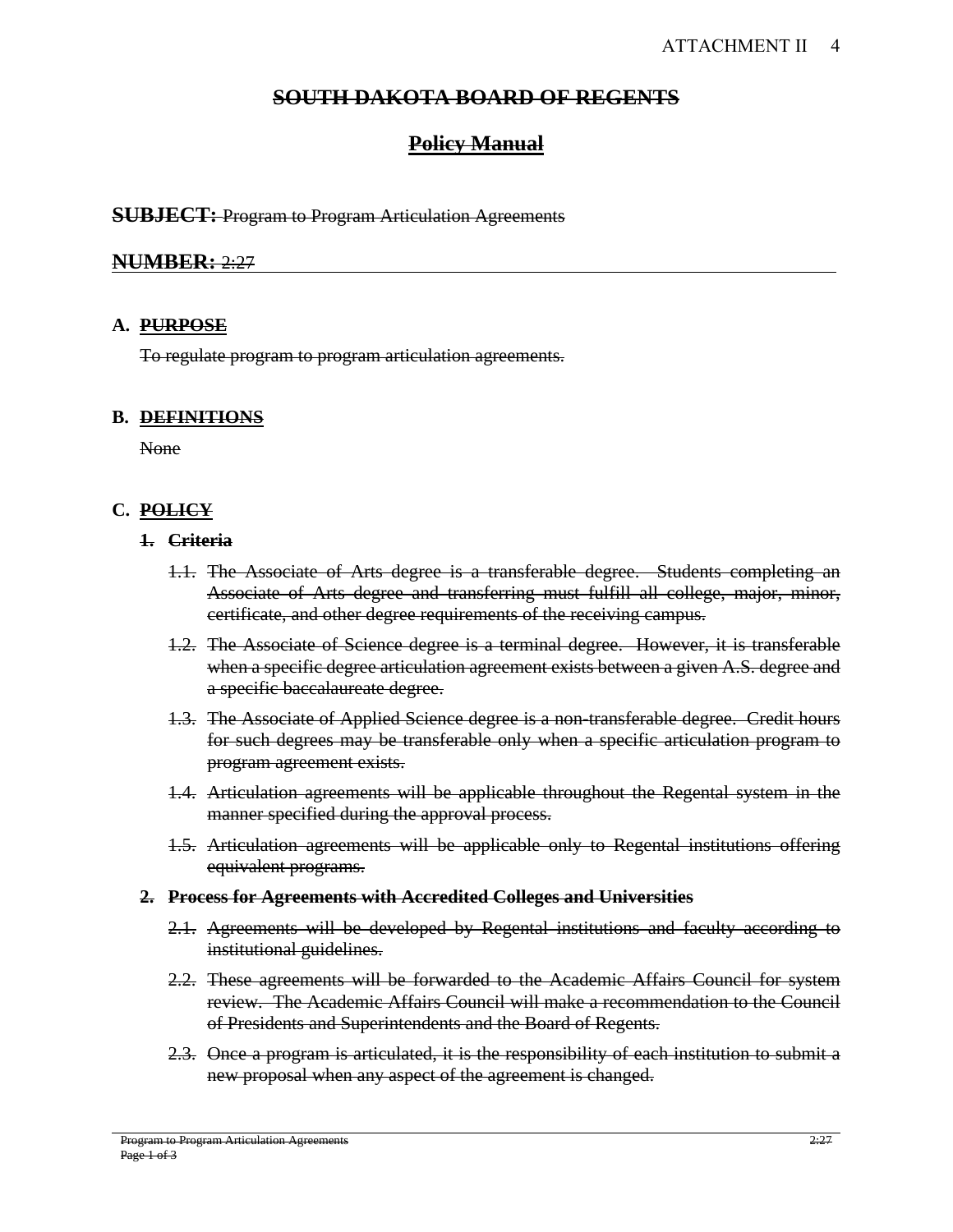# **Policy Manual**

### **SUBJECT:** Program to Program Articulation Agreements

# **NUMBER:** 2:27

### **A. PURPOSE**

To regulate program to program articulation agreements.

### **B. DEFINITIONS**

None

## **C. POLICY**

#### **1. Criteria**

- 1.1. The Associate of Arts degree is a transferable degree. Students completing an Associate of Arts degree and transferring must fulfill all college, major, minor, certificate, and other degree requirements of the receiving campus.
- 1.2. The Associate of Science degree is a terminal degree. However, it is transferable when a specific degree articulation agreement exists between a given A.S. degree and a specific baccalaureate degree.
- 1.3. The Associate of Applied Science degree is a non-transferable degree. Credit hours for such degrees may be transferable only when a specific articulation program to program agreement exists.
- 1.4. Articulation agreements will be applicable throughout the Regental system in the manner specified during the approval process.
- 1.5. Articulation agreements will be applicable only to Regental institutions offering equivalent programs.
- **2. Process for Agreements with Accredited Colleges and Universities**
	- 2.1. Agreements will be developed by Regental institutions and faculty according to institutional guidelines.
	- 2.2. These agreements will be forwarded to the Academic Affairs Council for system review. The Academic Affairs Council will make a recommendation to the Council of Presidents and Superintendents and the Board of Regents.
	- 2.3. Once a program is articulated, it is the responsibility of each institution to submit a new proposal when any aspect of the agreement is changed.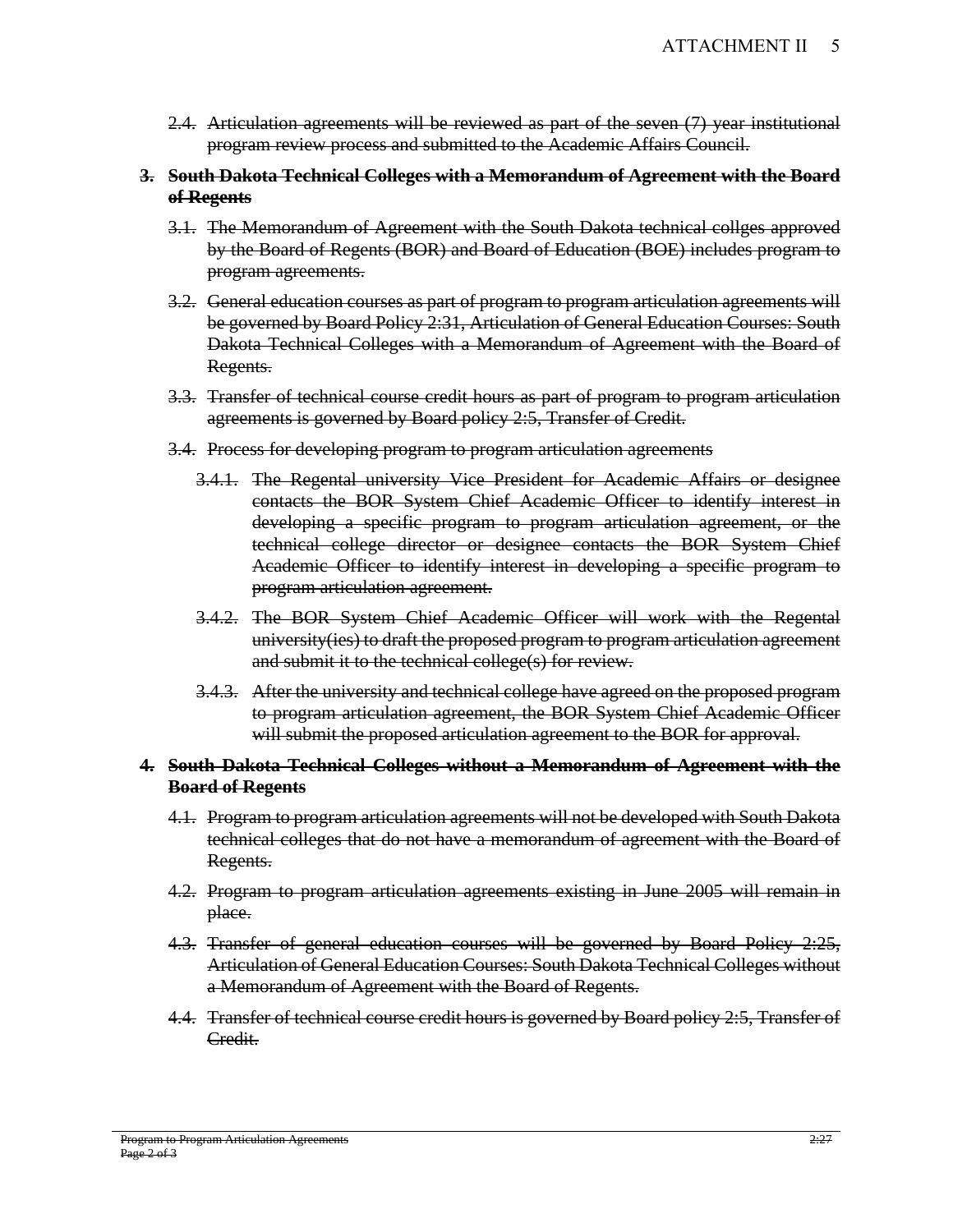- 2.4. Articulation agreements will be reviewed as part of the seven (7) year institutional program review process and submitted to the Academic Affairs Council.
- **3. South Dakota Technical Colleges with a Memorandum of Agreement with the Board of Regents** 
	- 3.1. The Memorandum of Agreement with the South Dakota technical collges approved by the Board of Regents (BOR) and Board of Education (BOE) includes program to program agreements.
	- 3.2. General education courses as part of program to program articulation agreements will be governed by Board Policy 2:31, Articulation of General Education Courses: South Dakota Technical Colleges with a Memorandum of Agreement with the Board of Regents.
	- 3.3. Transfer of technical course credit hours as part of program to program articulation agreements is governed by Board policy 2:5, Transfer of Credit.
	- 3.4. Process for developing program to program articulation agreements
		- 3.4.1. The Regental university Vice President for Academic Affairs or designee contacts the BOR System Chief Academic Officer to identify interest in developing a specific program to program articulation agreement, or the technical college director or designee contacts the BOR System Chief Academic Officer to identify interest in developing a specific program to program articulation agreement.
		- 3.4.2. The BOR System Chief Academic Officer will work with the Regental university(ies) to draft the proposed program to program articulation agreement and submit it to the technical college(s) for review.
		- 3.4.3. After the university and technical college have agreed on the proposed program to program articulation agreement, the BOR System Chief Academic Officer will submit the proposed articulation agreement to the BOR for approval.

## **4. South Dakota Technical Colleges without a Memorandum of Agreement with the Board of Regents**

- 4.1. Program to program articulation agreements will not be developed with South Dakota technical colleges that do not have a memorandum of agreement with the Board of Regents.
- 4.2. Program to program articulation agreements existing in June 2005 will remain in place.
- 4.3. Transfer of general education courses will be governed by Board Policy 2:25, Articulation of General Education Courses: South Dakota Technical Colleges without a Memorandum of Agreement with the Board of Regents.
- 4.4. Transfer of technical course credit hours is governed by Board policy 2:5, Transfer of Credit.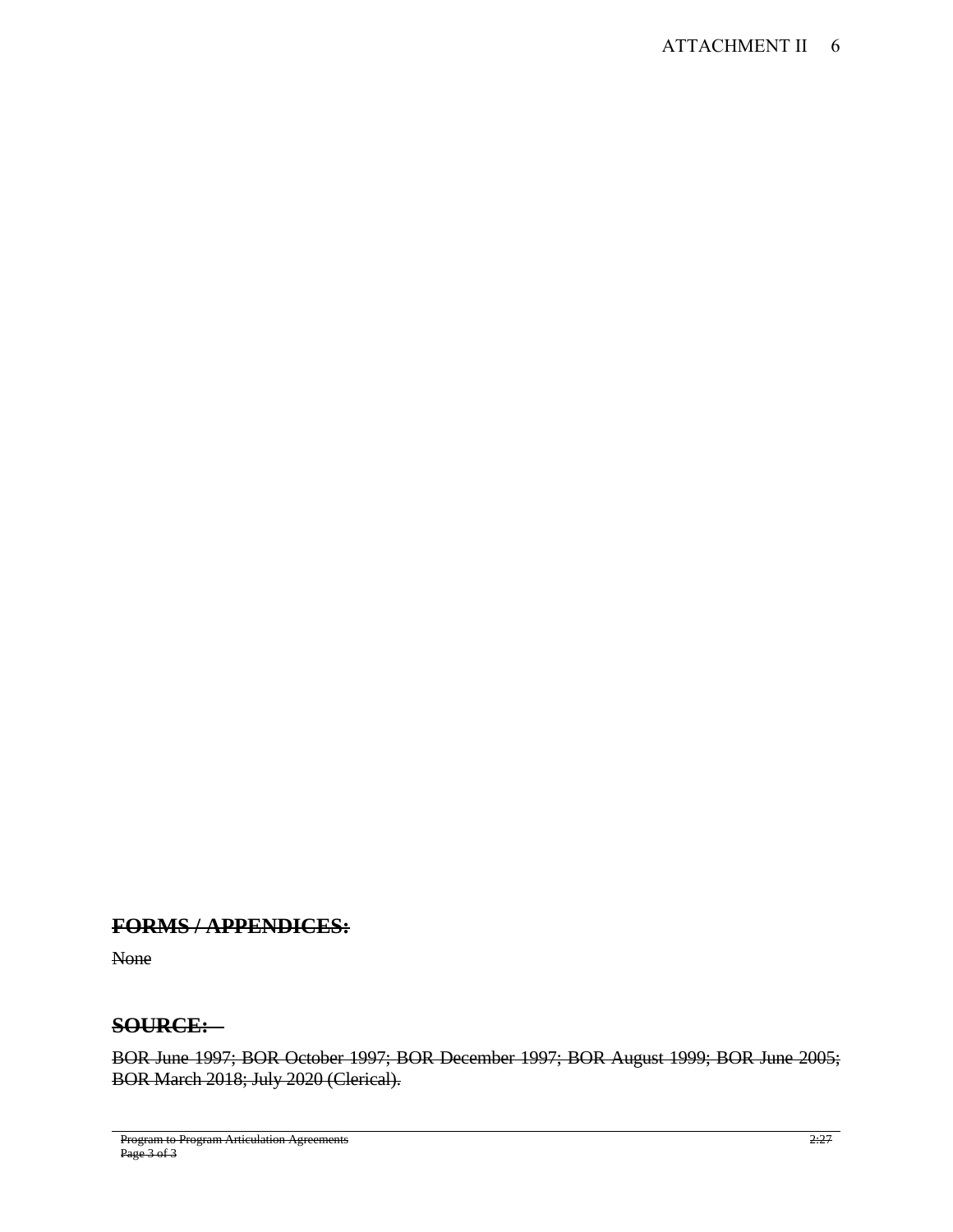# **FORMS / APPENDICES:**

None

# **SOURCE:**

BOR June 1997; BOR October 1997; BOR December 1997; BOR August 1999; BOR June 2005; BOR March 2018; July 2020 (Clerical).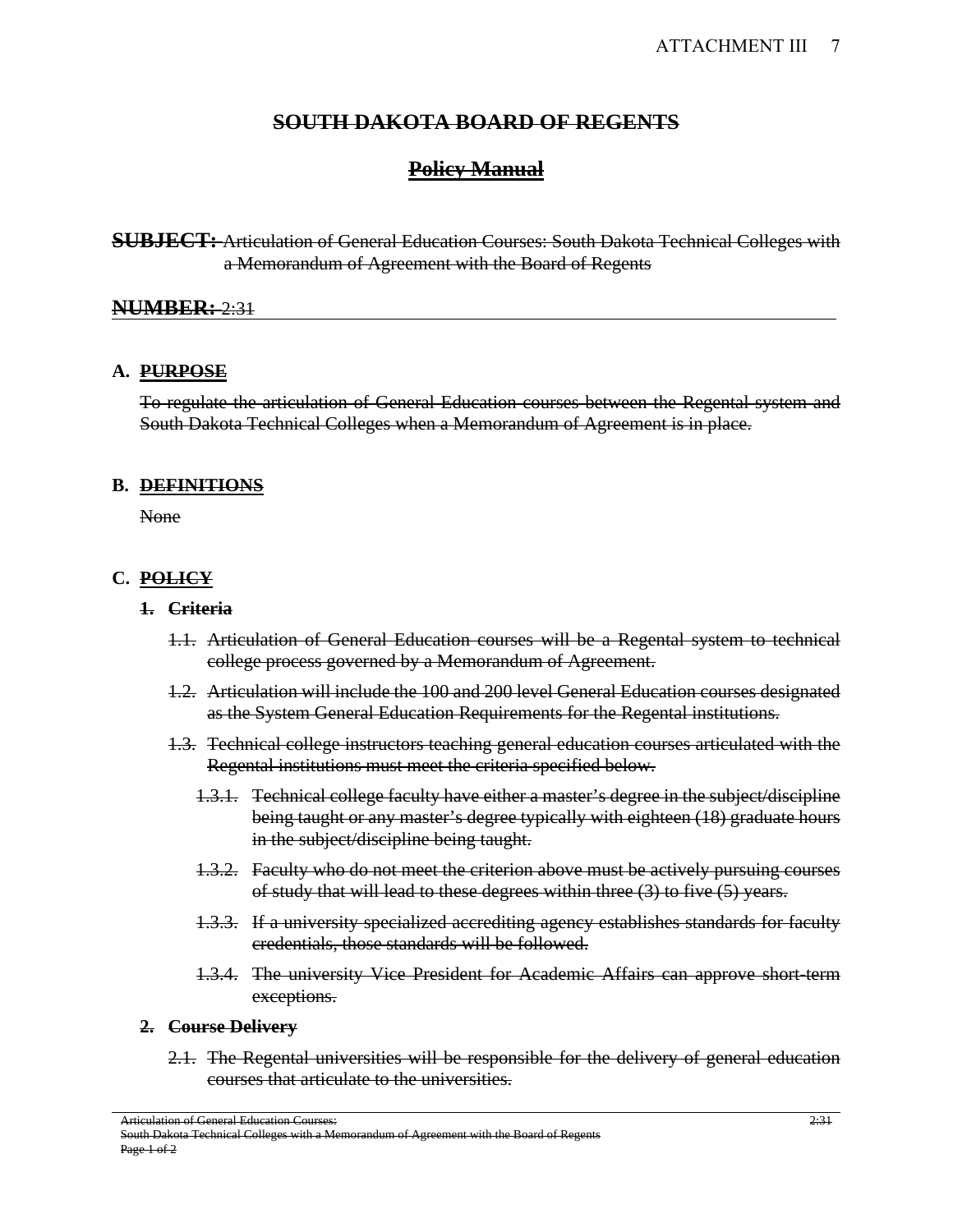# **Policy Manual**

**SUBJECT:** Articulation of General Education Courses: South Dakota Technical Colleges with a Memorandum of Agreement with the Board of Regents

## **NUMBER:** 2:31

### **A. PURPOSE**

To regulate the articulation of General Education courses between the Regental system and South Dakota Technical Colleges when a Memorandum of Agreement is in place.

#### **B. DEFINITIONS**

None

### **C. POLICY**

#### **1. Criteria**

- 1.1. Articulation of General Education courses will be a Regental system to technical college process governed by a Memorandum of Agreement.
- 1.2. Articulation will include the 100 and 200 level General Education courses designated as the System General Education Requirements for the Regental institutions.
- 1.3. Technical college instructors teaching general education courses articulated with the Regental institutions must meet the criteria specified below.
	- 1.3.1. Technical college faculty have either a master's degree in the subject/discipline being taught or any master's degree typically with eighteen (18) graduate hours in the subject/discipline being taught.
	- 1.3.2. Faculty who do not meet the criterion above must be actively pursuing courses of study that will lead to these degrees within three (3) to five (5) years.
	- 1.3.3. If a university specialized accrediting agency establishes standards for faculty credentials, those standards will be followed.
	- 1.3.4. The university Vice President for Academic Affairs can approve short-term exceptions.

#### **2. Course Delivery**

2.1. The Regental universities will be responsible for the delivery of general education courses that articulate to the universities.

Articulation of General Education Courses:

South Dakota Technical Colleges with a Memorandum of Agreement with the Board of Regents Page 1 of 2